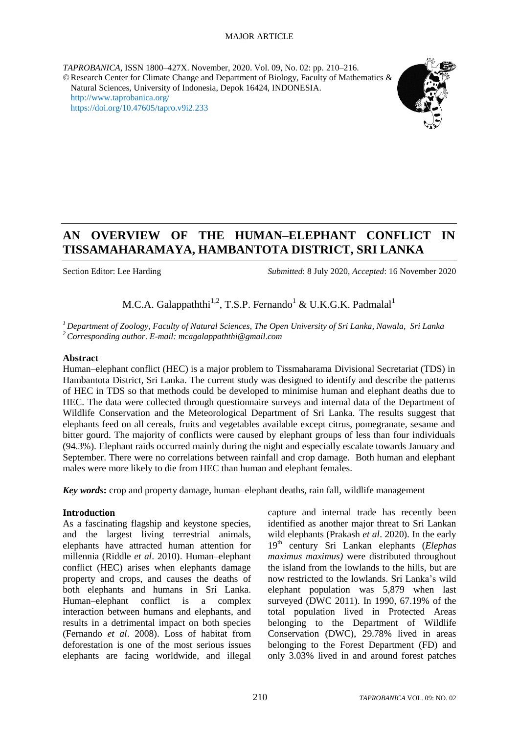*TAPROBANICA*, ISSN 1800–427X. November, 2020. Vol. 09, No. 02: pp. 210–216. ©Research Center for Climate Change and Department of Biology, Faculty of Mathematics & Natural Sciences, University of Indonesia, Depok 16424, INDONESIA. <http://www.taprobanica.org/> <https://doi.org/10.47605/tapro.v9i2.233>



# **AN OVERVIEW OF THE HUMAN–ELEPHANT CONFLICT IN TISSAMAHARAMAYA, HAMBANTOTA DISTRICT, SRI LANKA**

Section Editor: Lee Harding *Submitted*: 8 July 2020, *Accepted*: 16 November 2020

## M.C.A. Galappaththi<sup>1,2</sup>, T.S.P. Fernando<sup>1</sup> & U.K.G.K. Padmalal<sup>1</sup>

*<sup>1</sup>Department of Zoology*, *Faculty of Natural Sciences*, *The Open University of Sri Lanka*, *Nawala*, *Sri Lanka <sup>2</sup>Corresponding author*. *E-mail: mcagalappaththi@gmail*.*com*

### **Abstract**

Human–elephant conflict (HEC) is a major problem to Tissmaharama Divisional Secretariat (TDS) in Hambantota District, Sri Lanka. The current study was designed to identify and describe the patterns of HEC in TDS so that methods could be developed to minimise human and elephant deaths due to HEC. The data were collected through questionnaire surveys and internal data of the Department of Wildlife Conservation and the Meteorological Department of Sri Lanka. The results suggest that elephants feed on all cereals, fruits and vegetables available except citrus, pomegranate, sesame and bitter gourd. The majority of conflicts were caused by elephant groups of less than four individuals (94.3%). Elephant raids occurred mainly during the night and especially escalate towards January and September. There were no correlations between rainfall and crop damage. Both human and elephant males were more likely to die from HEC than human and elephant females.

*Key words***:** crop and property damage, human–elephant deaths, rain fall, wildlife management

### **Introduction**

As a fascinating flagship and keystone species, and the largest living terrestrial animals, elephants have attracted human attention for millennia (Riddle *et al*. 2010). Human–elephant conflict (HEC) arises when elephants damage property and crops, and causes the deaths of both elephants and humans in Sri Lanka. Human–elephant conflict is a complex interaction between humans and elephants, and results in a detrimental impact on both species (Fernando *et al*. 2008). Loss of habitat from deforestation is one of the most serious issues elephants are facing worldwide, and illegal

capture and internal trade has recently been identified as another major threat to Sri Lankan wild elephants (Prakash *et al*. 2020). In the early 19th century Sri Lankan elephants (*Elephas maximus maximus)* were distributed throughout the island from the lowlands to the hills, but are now restricted to the lowlands. Sri Lanka's wild elephant population was 5,879 when last surveyed (DWC 2011). In 1990, 67.19% of the total population lived in Protected Areas belonging to the Department of Wildlife Conservation (DWC), 29.78% lived in areas belonging to the Forest Department (FD) and only 3.03% lived in and around forest patches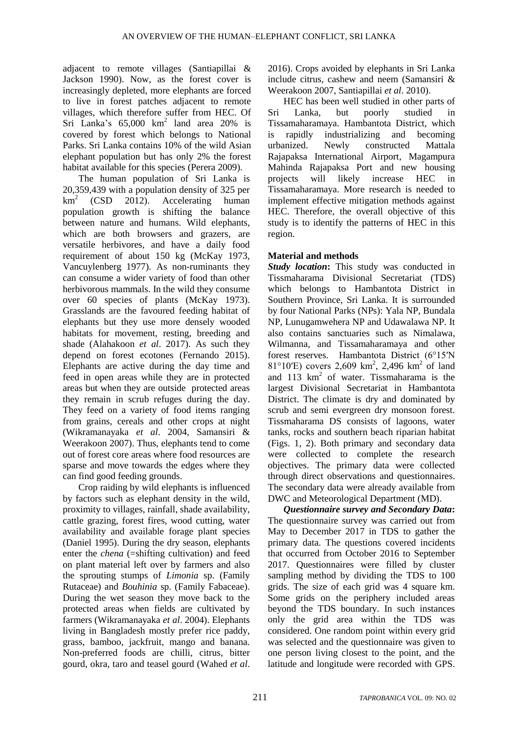adjacent to remote villages (Santiapillai & Jackson 1990). Now, as the forest cover is increasingly depleted, more elephants are forced to live in forest patches adjacent to remote villages, which therefore suffer from HEC. Of Sri Lanka's  $65,000 \text{ km}^2$  land area 20% is covered by forest which belongs to National Parks. Sri Lanka contains 10% of the wild Asian elephant population but has only 2% the forest habitat available for this species (Perera 2009).

The human population of Sri Lanka is 20,359,439 with a population density of 325 per  $km^2$ (CSD 2012). Accelerating human population growth is shifting the balance between nature and humans. Wild elephants, which are both browsers and grazers, are versatile herbivores, and have a daily food requirement of about 150 kg (McKay 1973, Vancuylenberg 1977). As non-ruminants they can consume a wider variety of food than other herbivorous mammals. In the wild they consume over 60 species of plants (McKay 1973). Grasslands are the favoured feeding habitat of elephants but they use more densely wooded habitats for movement, resting, breeding and shade (Alahakoon *et al*. 2017). As such they depend on forest ecotones (Fernando 2015). Elephants are active during the day time and feed in open areas while they are in protected areas but when they are outside protected areas they remain in scrub refuges during the day. They feed on a variety of food items ranging from grains, cereals and other crops at night (Wikramanayaka *et al*. 2004, Samansiri & Weerakoon 2007). Thus, elephants tend to come out of forest core areas where food resources are sparse and move towards the edges where they can find good feeding grounds.

Crop raiding by wild elephants is influenced by factors such as elephant density in the wild, proximity to villages, rainfall, shade availability, cattle grazing, forest fires, wood cutting, water availability and available forage plant species (Daniel 1995). During the dry season, elephants enter the *chena* (=shifting cultivation) and feed on plant material left over by farmers and also the sprouting stumps of *Limonia* sp. (Family Rutaceae) and *Bouhinia* sp. (Family Fabaceae). During the wet season they move back to the protected areas when fields are cultivated by farmers (Wikramanayaka *et al*. 2004). Elephants living in Bangladesh mostly prefer rice paddy, grass, bamboo, jackfruit, mango and banana. Non-preferred foods are chilli, citrus, bitter gourd, okra, taro and teasel gourd (Wahed *et al*. 2016). Crops avoided by elephants in Sri Lanka include citrus, cashew and neem (Samansiri & Weerakoon 2007, Santiapillai *et al*. 2010).

HEC has been well studied in other parts of Sri Lanka, but poorly studied in Tissamaharamaya. Hambantota District, which is rapidly industrializing and becoming urbanized. Newly constructed Mattala Rajapaksa International Airport, Magampura Mahinda Rajapaksa Port and new housing projects will likely increase HEC in Tissamaharamaya. More research is needed to implement effective mitigation methods against HEC. Therefore, the overall objective of this study is to identify the patterns of HEC in this region.

### **Material and methods**

*Study location***:** This study was conducted in Tissmaharama Divisional Secretariat (TDS) which belongs to Hambantota District in Southern Province, Sri Lanka. It is surrounded by four National Parks (NPs): Yala NP, Bundala NP, Lunugamwehera NP and Udawalawa NP. It also contains sanctuaries such as Nimalawa, Wilmanna, and Tissamaharamaya and other forest reserves. Hambantota District (6°15′N 81°10′E) covers 2,609 km<sup>2</sup>, 2,496 km<sup>2</sup> of land and  $113 \text{ km}^2$  of water. Tissmaharama is the largest Divisional Secretariat in Hambantota District. The climate is dry and dominated by scrub and semi evergreen dry monsoon forest. Tissmaharama DS consists of lagoons, water tanks, rocks and southern beach riparian habitat (Figs. 1, 2). Both primary and secondary data were collected to complete the research objectives. The primary data were collected through direct observations and questionnaires. The secondary data were already available from DWC and Meteorological Department (MD).

*Questionnaire survey and Secondary Data***:** The questionnaire survey was carried out from May to December 2017 in TDS to gather the primary data. The questions covered incidents that occurred from October 2016 to September 2017. Questionnaires were filled by cluster sampling method by dividing the TDS to 100 grids. The size of each grid was 4 square km. Some grids on the periphery included areas beyond the TDS boundary. In such instances only the grid area within the TDS was considered. One random point within every grid was selected and the questionnaire was given to one person living closest to the point, and the latitude and longitude were recorded with GPS.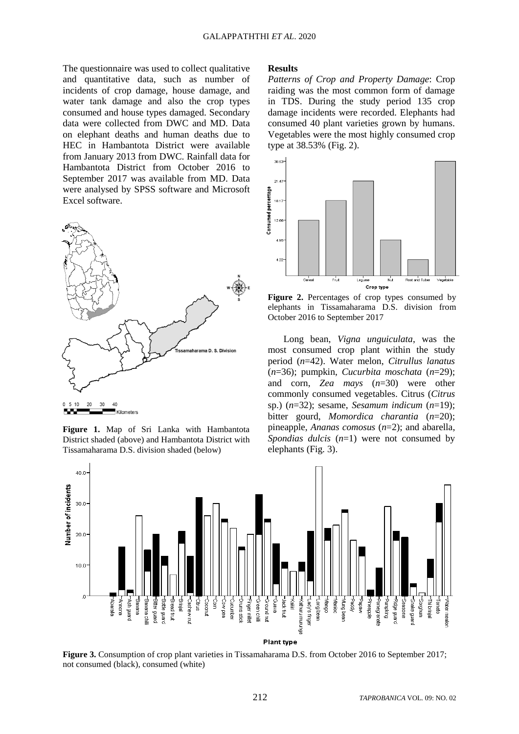The questionnaire was used to collect qualitative and quantitative data, such as number of incidents of crop damage, house damage, and water tank damage and also the crop types consumed and house types damaged. Secondary data were collected from DWC and MD. Data on elephant deaths and human deaths due to HEC in Hambantota District were available from January 2013 from DWC. Rainfall data for Hambantota District from October 2016 to September 2017 was available from MD. Data were analysed by SPSS software and Microsoft Excel software.



**Figure 1.** Map of Sri Lanka with Hambantota District shaded (above) and Hambantota District with Tissamaharama D.S. division shaded (below)

#### **Results**

*Patterns of Crop and Property Damage*: Crop raiding was the most common form of damage in TDS. During the study period 135 crop damage incidents were recorded. Elephants had consumed 40 plant varieties grown by humans. Vegetables were the most highly consumed crop type at 38.53% (Fig. 2).



**Figure 2.** Percentages of crop types consumed by elephants in Tissamaharama D.S. division from October 2016 to September 2017

Long bean, *Vigna unguiculata*, was the most consumed crop plant within the study period (*n*=42). Water melon, *Citrullus lanatus* (*n*=36); pumpkin, *Cucurbita moschata* (*n*=29); and corn, *Zea mays* (*n*=30) were other commonly consumed vegetables. Citrus (*Citrus*  sp.) (*n*=32); sesame, *Sesamum indicum* (*n*=19); bitter gourd, *Momordica charantia* (*n*=20); pineapple, *Ananas comosus* (*n*=2); and abarella, *Spondias dulcis* (*n*=1) were not consumed by elephants (Fig. 3).



**Figure 3.** Consumption of crop plant varieties in Tissamaharama D.S. from October 2016 to September 2017; not consumed (black), consumed (white)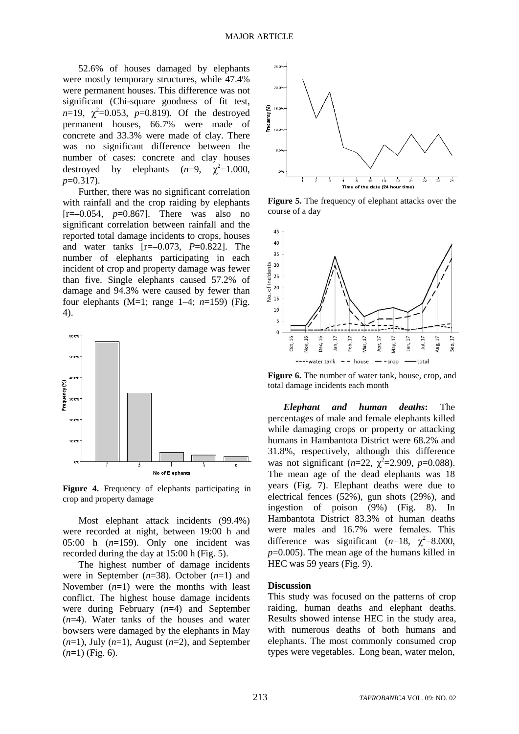52.6% of houses damaged by elephants were mostly temporary structures, while 47.4% were permanent houses. This difference was not significant (Chi-square goodness of fit test, *n*=19,  $\chi^2$ =0.053, *p*=0.819). Of the destroyed permanent houses, 66.7% were made of concrete and 33.3% were made of clay. There was no significant difference between the number of cases: concrete and clay houses destroyed by elephants  $(n=9,$  $^{2}_{\sim}$ =1.000, *p*=0.317).

Further, there was no significant correlation with rainfall and the crop raiding by elephants [r=**–**0.054, *p*=0.867]. There was also no significant correlation between rainfall and the reported total damage incidents to crops, houses and water tanks [r=**–**0.073, *P*=0.822]. The number of elephants participating in each incident of crop and property damage was fewer than five. Single elephants caused 57.2% of damage and 94.3% were caused by fewer than four elephants (M=1; range 1–4; *n*=159) (Fig. 4).



**Figure 4.** Frequency of elephants participating in crop and property damage

Most elephant attack incidents (99.4%) were recorded at night, between 19:00 h and 05:00 h (*n*=159). Only one incident was recorded during the day at 15:00 h (Fig. 5).

The highest number of damage incidents were in September (*n*=38). October (*n*=1) and November (*n*=1) were the months with least conflict. The highest house damage incidents were during February (*n*=4) and September (*n*=4). Water tanks of the houses and water bowsers were damaged by the elephants in May (*n*=1), July (*n*=1), August (*n*=2), and September  $(n=1)$  (Fig. 6).



**Figure 5.** The frequency of elephant attacks over the course of a day



**Figure 6.** The number of water tank, house, crop, and total damage incidents each month

*Elephant and human deaths***:** The percentages of male and female elephants killed while damaging crops or property or attacking humans in Hambantota District were 68.2% and 31.8%, respectively, although this difference was not significant  $(n=22, \chi^2=2.909, p=0.088)$ . The mean age of the dead elephants was 18 years (Fig. 7). Elephant deaths were due to electrical fences (52%), gun shots (29%), and ingestion of poison (9%) (Fig. 8). In Hambantota District 83.3% of human deaths were males and 16.7% were females. This difference was significant  $(n=18, \gamma^2=8.000,$ *p*=0.005). The mean age of the humans killed in HEC was 59 years (Fig. 9).

#### **Discussion**

This study was focused on the patterns of crop raiding, human deaths and elephant deaths. Results showed intense HEC in the study area, with numerous deaths of both humans and elephants. The most commonly consumed crop types were vegetables. Long bean, water melon,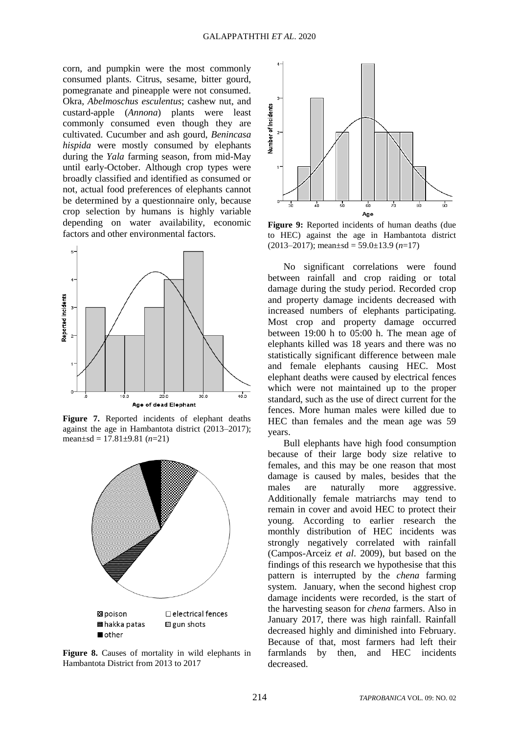corn, and pumpkin were the most commonly consumed plants. Citrus, sesame, bitter gourd, pomegranate and pineapple were not consumed. Okra, *Abelmoschus esculentus*; cashew nut, and custard-apple (*Annona*) plants were least commonly consumed even though they are cultivated. Cucumber and ash gourd, *Benincasa hispida* were mostly consumed by elephants during the *Yala* farming season, from mid-May until early-October. Although crop types were broadly classified and identified as consumed or not, actual food preferences of elephants cannot be determined by a questionnaire only, because crop selection by humans is highly variable depending on water availability, economic factors and other environmental factors.



**Figure 7.** Reported incidents of elephant deaths against the age in Hambantota district (2013–2017); mean±sd = 17.81±9.81 (*n*=21)



**Figure 8.** Causes of mortality in wild elephants in Hambantota District from 2013 to 2017



**Figure 9:** Reported incidents of human deaths (due to HEC) against the age in Hambantota district (2013–2017); mean±sd = 59.0±13.9 (*n*=17)

No significant correlations were found between rainfall and crop raiding or total damage during the study period. Recorded crop and property damage incidents decreased with increased numbers of elephants participating. Most crop and property damage occurred between 19:00 h to 05:00 h. The mean age of elephants killed was 18 years and there was no statistically significant difference between male and female elephants causing HEC. Most elephant deaths were caused by electrical fences which were not maintained up to the proper standard, such as the use of direct current for the fences. More human males were killed due to HEC than females and the mean age was 59 years.

Bull elephants have high food consumption because of their large body size relative to females, and this may be one reason that most damage is caused by males, besides that the males are naturally more aggressive. Additionally female matriarchs may tend to remain in cover and avoid HEC to protect their young. According to earlier research the monthly distribution of HEC incidents was strongly negatively correlated with rainfall (Campos-Arceiz *et al*. 2009), but based on the findings of this research we hypothesise that this pattern is interrupted by the *chena* farming system. January, when the second highest crop damage incidents were recorded, is the start of the harvesting season for *chena* farmers. Also in January 2017, there was high rainfall. Rainfall decreased highly and diminished into February. Because of that, most farmers had left their farmlands by then, and HEC incidents decreased.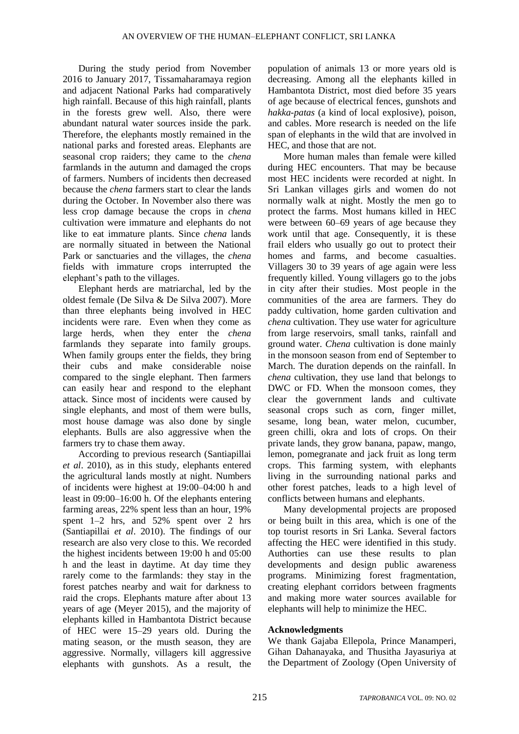During the study period from November 2016 to January 2017, Tissamaharamaya region and adjacent National Parks had comparatively high rainfall. Because of this high rainfall, plants in the forests grew well. Also, there were abundant natural water sources inside the park. Therefore, the elephants mostly remained in the national parks and forested areas. Elephants are seasonal crop raiders; they came to the *chena* farmlands in the autumn and damaged the crops of farmers. Numbers of incidents then decreased because the *chena* farmers start to clear the lands during the October. In November also there was less crop damage because the crops in *chena* cultivation were immature and elephants do not like to eat immature plants. Since *chena* lands are normally situated in between the National Park or sanctuaries and the villages, the *chena* fields with immature crops interrupted the elephant's path to the villages.

Elephant herds are matriarchal, led by the oldest female (De Silva & De Silva 2007). More than three elephants being involved in HEC incidents were rare. Even when they come as large herds, when they enter the *chena* farmlands they separate into family groups. When family groups enter the fields, they bring their cubs and make considerable noise compared to the single elephant. Then farmers can easily hear and respond to the elephant attack. Since most of incidents were caused by single elephants, and most of them were bulls, most house damage was also done by single elephants. Bulls are also aggressive when the farmers try to chase them away.

According to previous research (Santiapillai *et al*. 2010), as in this study, elephants entered the agricultural lands mostly at night. Numbers of incidents were highest at 19:00–04:00 h and least in 09:00–16:00 h. Of the elephants entering farming areas, 22% spent less than an hour, 19% spent 1–2 hrs, and 52% spent over 2 hrs (Santiapillai *et al*. 2010). The findings of our research are also very close to this. We recorded the highest incidents between 19:00 h and 05:00 h and the least in daytime. At day time they rarely come to the farmlands: they stay in the forest patches nearby and wait for darkness to raid the crops. Elephants mature after about 13 years of age (Meyer 2015), and the majority of elephants killed in Hambantota District because of HEC were 15–29 years old. During the mating season, or the musth season, they are aggressive. Normally, villagers kill aggressive elephants with gunshots. As a result, the

population of animals 13 or more years old is decreasing. Among all the elephants killed in Hambantota District, most died before 35 years of age because of electrical fences, gunshots and *hakka-patas* (a kind of local explosive), poison, and cables. More research is needed on the life span of elephants in the wild that are involved in HEC, and those that are not.

More human males than female were killed during HEC encounters. That may be because most HEC incidents were recorded at night. In Sri Lankan villages girls and women do not normally walk at night. Mostly the men go to protect the farms. Most humans killed in HEC were between 60–69 years of age because they work until that age. Consequently, it is these frail elders who usually go out to protect their homes and farms, and become casualties. Villagers 30 to 39 years of age again were less frequently killed. Young villagers go to the jobs in city after their studies. Most people in the communities of the area are farmers. They do paddy cultivation, home garden cultivation and *chena* cultivation. They use water for agriculture from large reservoirs, small tanks, rainfall and ground water. *Chena* cultivation is done mainly in the monsoon season from end of September to March. The duration depends on the rainfall. In *chena* cultivation, they use land that belongs to DWC or FD. When the monsoon comes, they clear the government lands and cultivate seasonal crops such as corn, finger millet, sesame, long bean, water melon, cucumber, green chilli, okra and lots of crops. On their private lands, they grow banana, papaw, mango, lemon, pomegranate and jack fruit as long term crops. This farming system, with elephants living in the surrounding national parks and other forest patches, leads to a high level of conflicts between humans and elephants.

Many developmental projects are proposed or being built in this area, which is one of the top tourist resorts in Sri Lanka. Several factors affecting the HEC were identified in this study. Authorties can use these results to plan developments and design public awareness programs. Minimizing forest fragmentation, creating elephant corridors between fragments and making more water sources available for elephants will help to minimize the HEC.

### **Acknowledgments**

We thank Gajaba Ellepola, Prince Manamperi, Gihan Dahanayaka, and Thusitha Jayasuriya at the Department of Zoology (Open University of